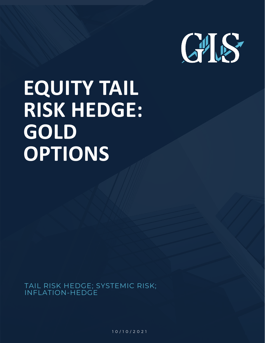

# **EQUITY TAIL RISK HEDGE: GOLD OPTIONS**

TAIL RISK HEDGE; SYSTEMIC RISK; INFLATION-HEDGE

1 0 / 1 0 / 2 0 2 1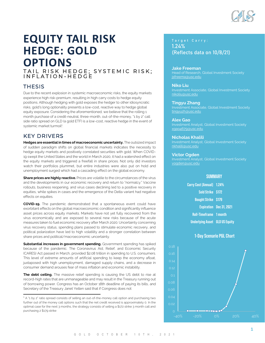

# **EQUITY TAIL RISK HEDGE: GOLD OPTIONS** TAIL RISK HEDGE; SYSTEMIC RISK; I N F L A T I O N - H E D G E

# **THESIS**

Due to the recent explosion in systemic macroeconomic risks, the equity markets experience high risk-premium, resulting in high carry costs to hedge equity positions. Although hedging with gold exposes the hedger to other idiosyncratic risks, gold's long optionality presents a low-cost, reactive way to hedge global equity exposure. Considering the aforementioned, we believe that the rolling 1 month purchase of a credit-neutral, three-month, out-of-the-money, "1 by 2" call side ratio spread on GLD (a gold ETF) is a low-cost, reactive hedge in the event of systemic market turmoil<sup>1</sup>.

# KEY DRIVERS

**Hedges are essential in times of macroeconomic uncertainty.** The outsized impact of sudden paradigm shifts on global financial markets indicates the necessity to hedge equity markets and positively correlated securities with gold. When COVID-19 swept the United States and the world in March 2020, it had a watershed effect on the equity markets and triggered a freefall in share prices. Not only did investors watch their portfolios plummet, but entire industries were also put on hold and unemployment surged which had a cascading effect on the global economy.

**Share prices are highly reactive.** Prices are volatile to the circumstances of the virus and the developments in our economic recovery and return to "normalcy." Vaccine rollouts, business reopening, and virus cases declining led to a positive recovery in equities, while spikes in cases and the emergence of the Delta variant had negative effects on equities.

**COVID-19.** The pandemic demonstrated that a spontaneous event could have exorbitant effects on the global macroeconomic condition and significantly influence asset prices across equity markets. Markets have not yet fully recovered from the virus economically and are exposed to several new risks because of the acute measures taken to fuel economic recovery after March 2020. Uncertainty concerning virus recovery status, spending plans passed to stimulate economic recovery, and political polarization have led to high volatility and a stronger correlation between share prices and political/macroeconomic uncertainty.

**Substantial increases in government spending.** Government spending has spiked because of the pandemic. The Coronavirus Aid, Relief, and Economic Security (CARES) Act passed in March, provided \$2.08 trillion in spending to U.S. consumers. This level of extreme amounts of artificial spending to keep the economy afloat, juxtaposed with high unemployment, damaged supply chains, and a decrease in consumer demand arouses fear of mass inflation and economic instability.

**The debt ceiling.** The massive relief spending is causing the US debt to rise at record-high rates that are unmanageable and may result in the Treasury running out of borrowing power. Congress has an October 18th deadline of paying its bills, and Secretary of the Treasury Janet Yellen said that if Congress does not

# **1.24% (Reflects data on 10/8/21)**

# **Jake Freeman**  jsfreema@usc.edu

#### **Niko Liu**

Investment Associate, Global Investment Society nikoliu@usc.edu

#### **Tingyu Zhang**

Investment Associate, Global Investment Society tingyuzh@usc.edu

#### **Alex Gao**

Investment Analyst, Global Investment Society xgao4679@usc.edu

#### **Nicholas Khalili**

nkhalili@usc.edu

#### **Victor Ogden**

Investment Analyst, Global Investment Society vogden@usc.edu

#### **SUMMARY**

| Carry Cost (Annual) 1.24%             |                         |
|---------------------------------------|-------------------------|
| Sold Strike \$172                     |                         |
| <b>Bought Strike \$179</b>            |                         |
|                                       | Expiration Dec 31, 2021 |
| <b>Roll-Timeframe 1 month</b>         |                         |
| <b>Underlying Asset GLD US Equity</b> |                         |

#### 1-Day Scenario P&L Chart



<sup>&</sup>lt;sup>1</sup> A "1 by 2" ratio spread consists of selling an out-of-the-money call option and purchasing two further out of the money call options such that the net credit received is approximately 0. In the optimal case for the next 3 months, the strategy consists of selling a \$172 strike 3 month call and purchasing 2 \$179 strike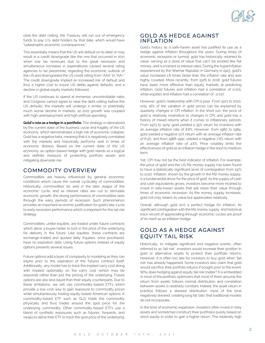

raise the debt ceiling, the Treasury will run out of emergency funds to pay U.S. debt holders by that date, which would have "catastrophic economic consequences."

This essentially means that the US will default on its debt or may result in a credit downgrade like the one that occurred in 2011 when low tax revenues due to the great recession and simultaneous increases in expenditures caused several rating agencies to be pessimistic regarding the economic outlook of the US and downgraded the US credit rating from "AAA" to "AA+." The credit downgrade implied an increased risk of default and thus a higher cost to insure US debts against defaults, and a decline in global equity markets followed.

If the US continues to spend at immense, uncontrollable rates and Congress cannot agree to raise the debt ceiling before the US defaults, the markets will undergo a similar or potentially much worse decline in markets, as 2021 growth was coupled with high unemployment and high artificial spending.

**Gold's role as a hedge in a portfolio.** The strategy is rationalized by the current state of the business cycle and fragility of the US economy, which demonstrates a high risk of economic collapse. Gold has a negative beta, meaning that it is negatively correlated with the markets and historically performs well in times of economic distress. Based on the current state of the US economy, an option-based hedge with gold stands as a logical and definite measure of protecting portfolio assets and mitigating downside risk.

#### COMMODITY OVERVIEW

Commodities are heavily influenced by general economic conditions which cause the overall cyclicality of commodities. Historically, commodities do well in the later stages of the economic cycle, and as interest rates are cut to stimulate economic growth, the strong performance of commodities lasts through the early periods of recession. Such phenomenon provides an important economic justification for gold's late-cycle to early recession performance which is important for this tail risk strategy.

Commodities, unlike equities, are traded under future contracts which allow a buyer/seller to lock in the price of the underlying for delivery in the future. Like equities, these contracts are exchange-traded and quoted daily. Equities, once purchased, have no expiration date. Using future options instead of equity options presents several issues.

Future options add a layer of complexity to modeling as they can expire prior to the expiration of the futures contract itself. Additionally, any model has to track the implied carry cost along with implied optionality on the carry cost (which may be seasonal) rather than just the pricing of the underlying. Future options are also less liquid than their equity counterparts. Due to these limitations, we will use commodity-based ETFs which provide a low-cost way to gain exposure to commodity prices while simultaneously trading equity-based American options. A commodity-based ETF such as GLD holds the commodity physically and thus trades around the spot price for the underlying commodity. Other commodity-based ETFs use a blend of synthetic exposures such as futures, forwards, and swaps to allow their ETF to track the spot price of the underlying.

#### GOLD AS HEDGE AGAINST INFLATION

Gold's history as a safe-haven asset has justified its use as a hedge against inflation throughout the years. During times of economic recession or turmoil, gold has historically retained its value, serving as a store of value that can't be eroded like fiat money, and is invariant to interest rates. During the hyperinflation experienced by the Weimar Republic in Germany in 1923, gold's value increased 1.8 times faster than the inflation rate and was highly coveted. More recently, from 1976 to 2018, gold futures have been more effective than equity markets at predicting inflation. Gold futures and inflation had a correlation of 0.105, while equities and inflation had a correlation of -0.017.

However, gold's relationship with CPI is poor. From 1971 to 2020, only 16% of the variation in gold prices can be explained by quarterly changes in CPI inflation. In the short run, the price of gold is relatively insensitive to changes in CPI, and gold has a history of mixed returns when it comes to inflationary periods. From 1973 to 1979, gold yielded a 35% return for investors with an average inflation rate of 8.8%. However, from 1980 to 1984, gold yielded a negative 10% return with an average inflation rate of 6.5%, and from 1988-1991, yielded a negative 7.6% return with an average inflation rate of 4.6%. Price volatility limits the effectiveness of gold as an inflation hedge in the short to medium term.

Yet, CPI may not be the best indicator of inflation. For example, the price of gold and the US M2 money supply has been found to have a statistically significant level of cointegration from 1971 to 2020. Inflation, shown by the growth in the M2 money supply, is a fundamental driver for the price of gold. As the supply of cash and cash equivalents grows, investors become more inclined to invest in safe-haven assets that will retain their value through times of economic recession. As the money supply increases, gold not only retains its value but appreciates relatively.

Overall, although gold isn't a perfect hedge for inflation, its significant cointegration with the M2 money supply, and historical track record of appreciating through economic cycles are proof of its merit as an inflation hedge.

# GOLD AS A HEDGE AGAINST EQUITY TAIL RISK

Historically, to mitigate significant and negative events, often referred to as 'tail risk', investors would increase their position in gold or alternative assets to protect their portfolio returns. However, it is often too late for investors to buy gold when 'tail risk' has already happened. Some investors also claim that gold would sacrifice their portfolio returns if bought prior to the event. Why does hedging against equity tail risk matter? It is embedded in most of the portfolio optimizers that most of them assume the return from assets follows normal distribution and correlation between assets is relatively constant. Indeed, the asset return in practice follows a skewed distribution, most of the time negatively skewed, creating long fat 'tails' that traditional models do not incorporate.

In the time of economic expansion, investors often invest in risky assets and sometimes construct their portfolios purely based on stock equity in order to gain a higher return. The relatively high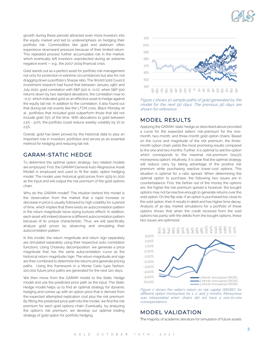

growth during these periods attracted even more investors into the equity market and led to underemphasis on hedging their portfolio risk. Commodities like gold and platinum often experience downward pressure because of their limited return. This repeated process further accumulates risk in the market, which eventually left investors unprotected during an extreme negative event — e.g., the 2007-2009 financial crisis.

Gold stands out as a perfect asset for portfolio risk management not only for protection in extreme circumstances but also for not dragging down a portfolio's Sharpe ratio. The World Gold Council investment research had found that between January 1987 and July 2010, gold correlation with S&P 500 is -0.07, when S&P 500 returns down by two standard deviations, the correlation rose to -0.17, which indicated gold as an effective asset to hedge against the equity tail risk. In addition to the correlation, it also found out that during tail risk events like the LTCM crisis, Black Monday et al., portfolios that included gold outperform those that did not include gold 75% of the time. With allocations to gold between 2.5% - 9.0%, the portfolio could reduce weekly volatility by 1% to 2.5%.

Overall, gold has been proved by the historical data to play an important role in investors' portfolios and serves as an essential method for hedging and reducing tail risk.

# GARAM-STATIC HEDGE

To determine the optimal option strategy, two related models are employed. First, the GARAM (General Auto-Regressive Asset Model) is employed and used to fit the static option hedging model. The model uses historical gold prices from 1979 to 2021 as the input and will output the risk premium of the gold options chain.

Why do the GARAM model? The intuition behind this model is the observation from the market that a rapid increase or decrease in price is usually followed by high volatility for a period of time, which implies that there exists an autocorrelation pattern in the return magnitude (slow-dying kurtosis effect). In addition, each asset will indeed observe a different autocorrelation pattern because of its unique characteristic. Thus, we will specifically analyze gold prices by observing and simulating their autocorrelation pattern.

In this model, the return magnitude and return sign separately are simulated separately using their respective auto-correlation functions. Using Cholesky decomposition, we generate a price magnitude that has the same autocorrelation curve as the historical return magnitude/sign. The return magnitude and sign are then combined to determine the returns and generate pricing paths. Using this framework in a Monte Carlo type fashion, 100,000 future price paths are generated for the next 120-days.

We then move from the GARAM model to the Static Hedge model and use the predicted price path as the input. The Static Hedge model helps us to find an optimal strategy for dynamic hedging and comes up with an option price that is derived from the expected attempted replication cost plus the risk premium. By fitting the predicted price path into the model, we find the risk premium for each gold options chain. Eventually, by analyzing the option's risk premium, we develop our optimal trading strategy of gold option for portfolio hedging.



Figure 1 shows 10 sample paths of gold generated by the model for the next 90 days. The previous 90 days are shown for reference.

### MODEL RESULTS

Applying the GARAM, static hedge as described above provided a curve for the expected sellers' risk-premium for the onemonth, two-month, and three-month gold option chains. Based on the curve and magnitude of the risk premium, the threemonth option chain yields the most promising results compared to the one and two months. Further, it is optimal to sell the option which corresponds to the maximal risk-premium (104.5% moneyness option). Intuitively, it is clear that the optimal strategy will reduce carry by taking advantage of the positive risk premium while purchasing reactive lower-cost options. This situation is optimal for a ratio spread. When determining the optimal option to purchase, the following two issues are in counterbalance. First, the farther out of the money the options are, the higher the risk premium spread is however, the bought options may not be reactive enough to generate returns over the sold option. On the flip side, if an option is purchased too close to the sold option, then it results in debit and has higher time decay. Analysis of 30-day market simulations for a portfolio of these options shows that when the credit received from the sold options has parity with the debits from the bought options, these two issues are optimized.



Figure 2 shows the seller's return on risk capital (SRORC) for different option moneyness for 1, 2, and 3 months. Moneyness was interpolated when chains did not have a one-to-one correspondence.

# MODEL VALIDATION

The majority of academic literature for simulation of future assets